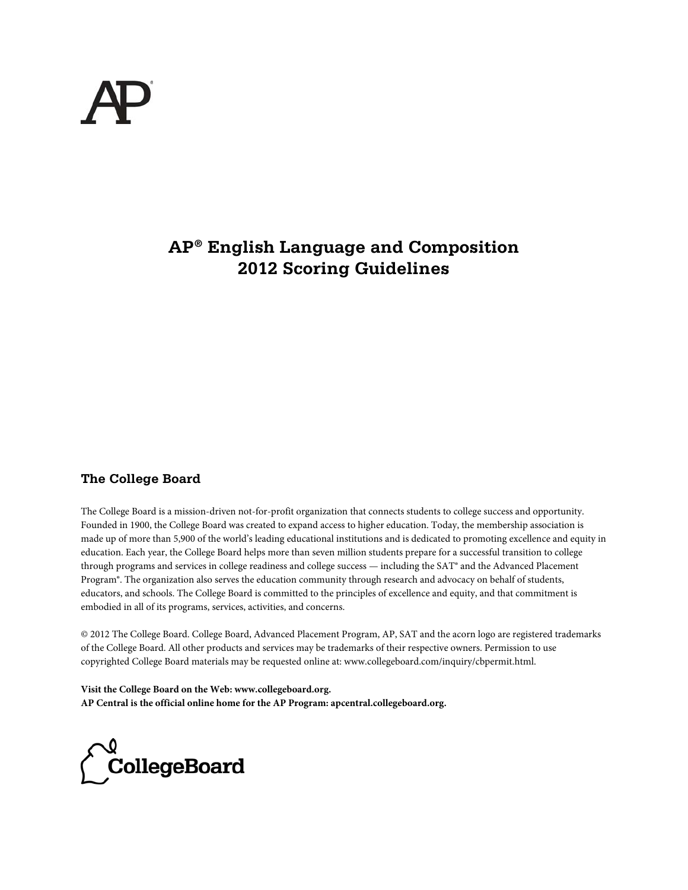

# **AP® English Language and Composition 2012 Scoring Guidelines**

## **The College Board**

The College Board is a mission-driven not-for-profit organization that connects students to college success and opportunity. Founded in 1900, the College Board was created to expand access to higher education. Today, the membership association is made up of more than 5,900 of the world's leading educational institutions and is dedicated to promoting excellence and equity in education. Each year, the College Board helps more than seven million students prepare for a successful transition to college through programs and services in college readiness and college success — including the SAT® and the Advanced Placement Program®. The organization also serves the education community through research and advocacy on behalf of students, educators, and schools. The College Board is committed to the principles of excellence and equity, and that commitment is embodied in all of its programs, services, activities, and concerns.

© 2012 The College Board. College Board, Advanced Placement Program, AP, SAT and the acorn logo are registered trademarks of the College Board. All other products and services may be trademarks of their respective owners. Permission to use copyrighted College Board materials may be requested online at: www.collegeboard.com/inquiry/cbpermit.html.

**Visit the College Board on the Web: www.collegeboard.org. AP Central is the official online home for the AP Program: apcentral.collegeboard.org.**

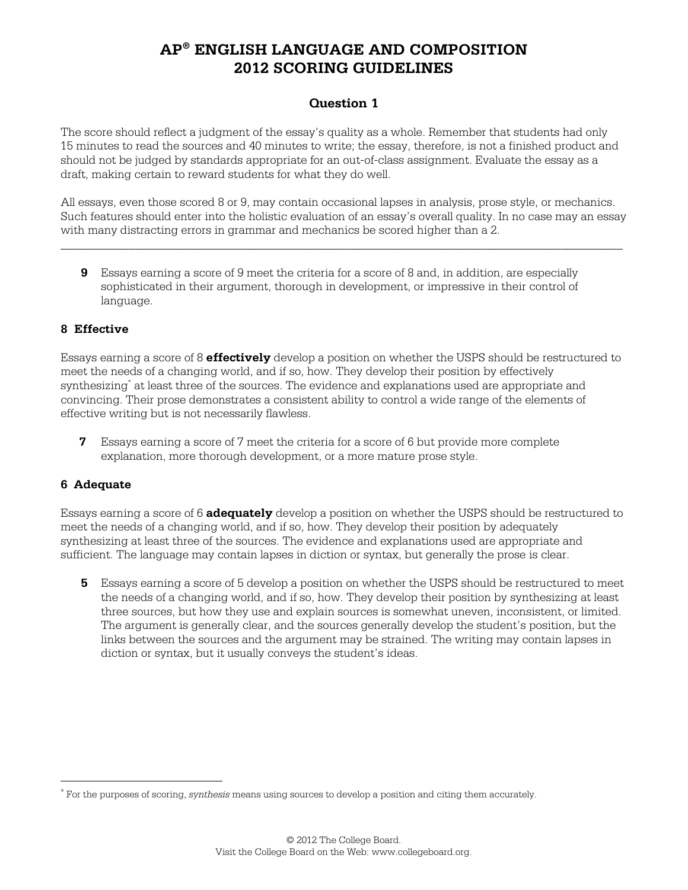### **Question 1**

The score should reflect a judgment of the essay's quality as a whole. Remember that students had only 15 minutes to read the sources and 40 minutes to write; the essay, therefore, is not a finished product and should not be judged by standards appropriate for an out-of-class assignment. Evaluate the essay as a draft, making certain to reward students for what they do well.

All essays, even those scored 8 or 9, may contain occasional lapses in analysis, prose style, or mechanics. Such features should enter into the holistic evaluation of an essay's overall quality. In no case may an essay with many distracting errors in grammar and mechanics be scored higher than a 2.

\_\_\_\_\_\_\_\_\_\_\_\_\_\_\_\_\_\_\_\_\_\_\_\_\_\_\_\_\_\_\_\_\_\_\_\_\_\_\_\_\_\_\_\_\_\_\_\_\_\_\_\_\_\_\_\_\_\_\_\_\_\_\_\_\_\_\_\_\_\_\_\_\_\_\_\_\_\_\_\_\_\_\_\_\_\_\_\_\_\_\_

**9** Essays earning a score of 9 meet the criteria for a score of 8 and, in addition, are especially sophisticated in their argument, thorough in development, or impressive in their control of language.

#### **8 Effective**

Essays earning a score of 8 **effectively** develop a position on whether the USPS should be restructured to meet the needs of a changing world, and if so, how. They develop their position by effectively synthesizing<sup>\*</sup> at least three of the sources. The evidence and explanations used are appropriate and convincing. Their prose demonstrates a consistent ability to control a wide range of the elements of effective writing but is not necessarily flawless.

**7** Essays earning a score of 7 meet the criteria for a score of 6 but provide more complete explanation, more thorough development, or a more mature prose style.

### **6 Adequate**

 $\overline{a}$ 

Essays earning a score of 6 **adequately** develop a position on whether the USPS should be restructured to meet the needs of a changing world, and if so, how. They develop their position by adequately synthesizing at least three of the sources. The evidence and explanations used are appropriate and sufficient. The language may contain lapses in diction or syntax, but generally the prose is clear.

**5** Essays earning a score of 5 develop a position on whether the USPS should be restructured to meet the needs of a changing world, and if so, how. They develop their position by synthesizing at least three sources, but how they use and explain sources is somewhat uneven, inconsistent, or limited. The argument is generally clear, and the sources generally develop the student's position, but the links between the sources and the argument may be strained. The writing may contain lapses in diction or syntax, but it usually conveys the student's ideas.

<sup>∗</sup> For the purposes of scoring, *synthesis* means using sources to develop a position and citing them accurately.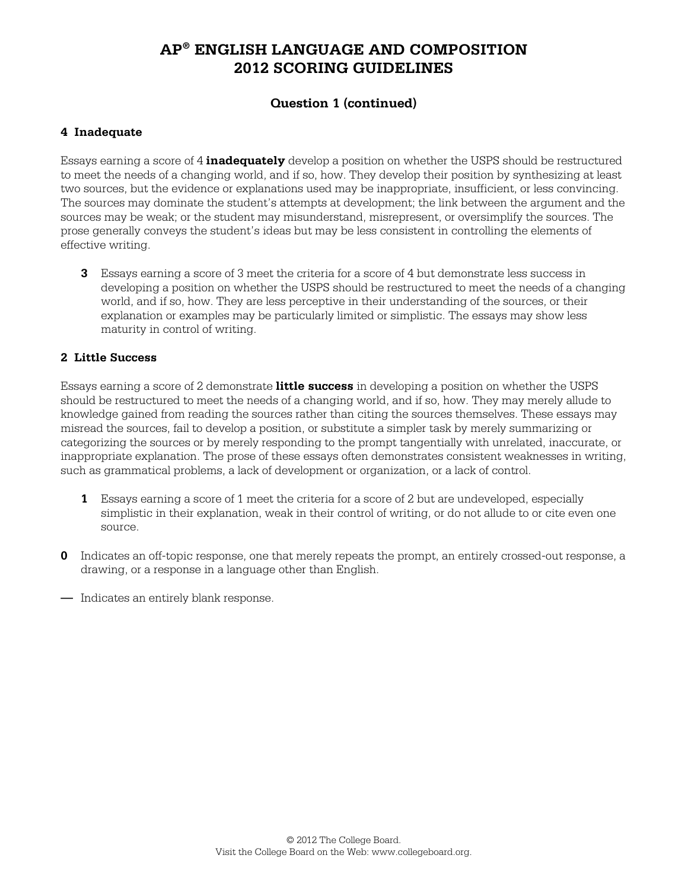## **Question 1 (continued)**

### **4 Inadequate**

Essays earning a score of 4 **inadequately** develop a position on whether the USPS should be restructured to meet the needs of a changing world, and if so, how. They develop their position by synthesizing at least two sources, but the evidence or explanations used may be inappropriate, insufficient, or less convincing. The sources may dominate the student's attempts at development; the link between the argument and the sources may be weak; or the student may misunderstand, misrepresent, or oversimplify the sources. The prose generally conveys the student's ideas but may be less consistent in controlling the elements of effective writing.

**3** Essays earning a score of 3 meet the criteria for a score of 4 but demonstrate less success in developing a position on whether the USPS should be restructured to meet the needs of a changing world, and if so, how. They are less perceptive in their understanding of the sources, or their explanation or examples may be particularly limited or simplistic. The essays may show less maturity in control of writing.

#### **2 Little Success**

Essays earning a score of 2 demonstrate **little success** in developing a position on whether the USPS should be restructured to meet the needs of a changing world, and if so, how. They may merely allude to knowledge gained from reading the sources rather than citing the sources themselves. These essays may misread the sources, fail to develop a position, or substitute a simpler task by merely summarizing or categorizing the sources or by merely responding to the prompt tangentially with unrelated, inaccurate, or inappropriate explanation. The prose of these essays often demonstrates consistent weaknesses in writing, such as grammatical problems, a lack of development or organization, or a lack of control.

- **1** Essays earning a score of 1 meet the criteria for a score of 2 but are undeveloped, especially simplistic in their explanation, weak in their control of writing, or do not allude to or cite even one source.
- **0** Indicates an off-topic response, one that merely repeats the prompt, an entirely crossed-out response, a drawing, or a response in a language other than English.
- **—** Indicates an entirely blank response.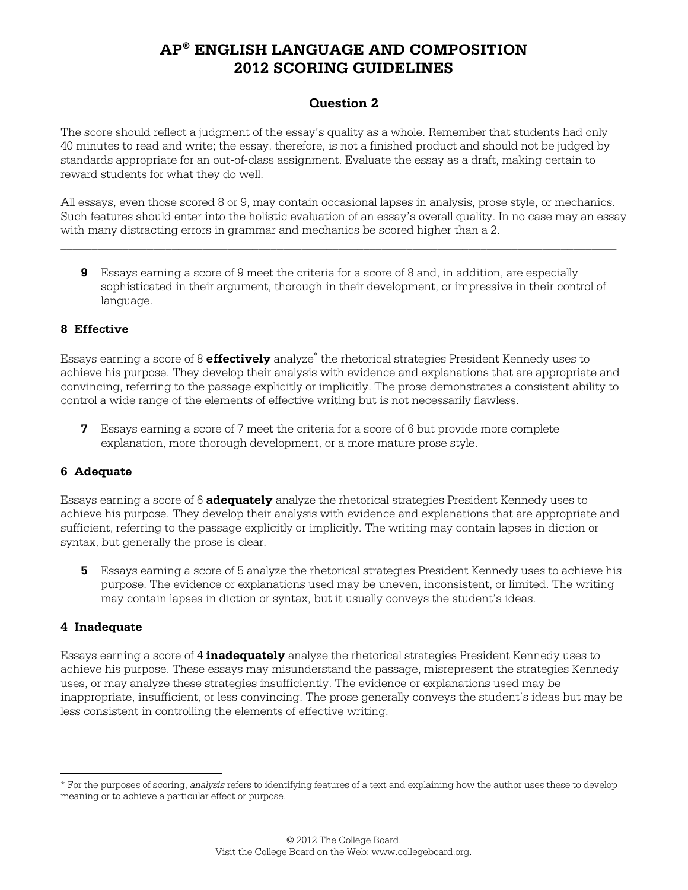### **Question 2**

The score should reflect a judgment of the essay's quality as a whole. Remember that students had only 40 minutes to read and write; the essay, therefore, is not a finished product and should not be judged by standards appropriate for an out-of-class assignment. Evaluate the essay as a draft, making certain to reward students for what they do well.

All essays, even those scored 8 or 9, may contain occasional lapses in analysis, prose style, or mechanics. Such features should enter into the holistic evaluation of an essay's overall quality. In no case may an essay with many distracting errors in grammar and mechanics be scored higher than a 2.

\_\_\_\_\_\_\_\_\_\_\_\_\_\_\_\_\_\_\_\_\_\_\_\_\_\_\_\_\_\_\_\_\_\_\_\_\_\_\_\_\_\_\_\_\_\_\_\_\_\_\_\_\_\_\_\_\_\_\_\_\_\_\_\_\_\_\_\_\_\_\_\_\_\_\_\_\_\_\_\_\_\_\_\_\_\_\_\_\_\_

**9** Essays earning a score of 9 meet the criteria for a score of 8 and, in addition, are especially sophisticated in their argument, thorough in their development, or impressive in their control of language.

#### **8 Effective**

Essays earning a score of 8 **effectively** analyze<sup>∗</sup> the rhetorical strategies President Kennedy uses to achieve his purpose. They develop their analysis with evidence and explanations that are appropriate and convincing, referring to the passage explicitly or implicitly. The prose demonstrates a consistent ability to control a wide range of the elements of effective writing but is not necessarily flawless.

**7** Essays earning a score of 7 meet the criteria for a score of 6 but provide more complete explanation, more thorough development, or a more mature prose style.

### **6 Adequate**

Essays earning a score of 6 **adequately** analyze the rhetorical strategies President Kennedy uses to achieve his purpose. They develop their analysis with evidence and explanations that are appropriate and sufficient, referring to the passage explicitly or implicitly. The writing may contain lapses in diction or syntax, but generally the prose is clear.

**5** Essays earning a score of 5 analyze the rhetorical strategies President Kennedy uses to achieve his purpose. The evidence or explanations used may be uneven, inconsistent, or limited. The writing may contain lapses in diction or syntax, but it usually conveys the student's ideas.

#### **4 Inadequate**

 $\overline{a}$ 

Essays earning a score of 4 **inadequately** analyze the rhetorical strategies President Kennedy uses to achieve his purpose. These essays may misunderstand the passage, misrepresent the strategies Kennedy uses, or may analyze these strategies insufficiently. The evidence or explanations used may be inappropriate, insufficient, or less convincing. The prose generally conveys the student's ideas but may be less consistent in controlling the elements of effective writing.

<sup>\*</sup> For the purposes of scoring, *analysis* refers to identifying features of a text and explaining how the author uses these to develop meaning or to achieve a particular effect or purpose.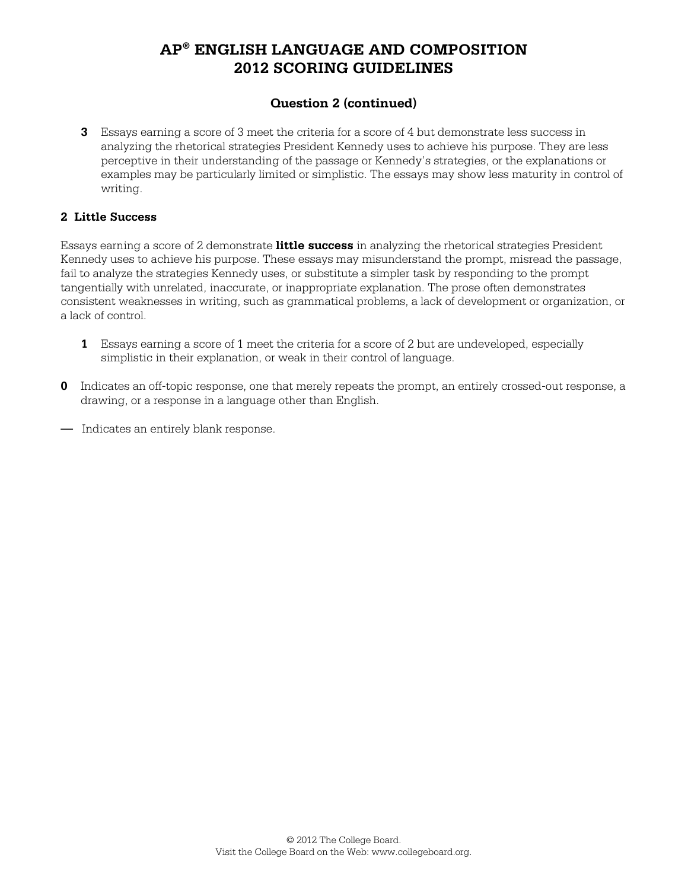## **Question 2 (continued)**

**3** Essays earning a score of 3 meet the criteria for a score of 4 but demonstrate less success in analyzing the rhetorical strategies President Kennedy uses to achieve his purpose. They are less perceptive in their understanding of the passage or Kennedy's strategies, or the explanations or examples may be particularly limited or simplistic. The essays may show less maturity in control of writing.

#### **2 Little Success**

Essays earning a score of 2 demonstrate **little success** in analyzing the rhetorical strategies President Kennedy uses to achieve his purpose. These essays may misunderstand the prompt, misread the passage, fail to analyze the strategies Kennedy uses, or substitute a simpler task by responding to the prompt tangentially with unrelated, inaccurate, or inappropriate explanation. The prose often demonstrates consistent weaknesses in writing, such as grammatical problems, a lack of development or organization, or a lack of control.

- **1** Essays earning a score of 1 meet the criteria for a score of 2 but are undeveloped, especially simplistic in their explanation, or weak in their control of language.
- **0** Indicates an off-topic response, one that merely repeats the prompt, an entirely crossed-out response, a drawing, or a response in a language other than English.
- **—** Indicates an entirely blank response.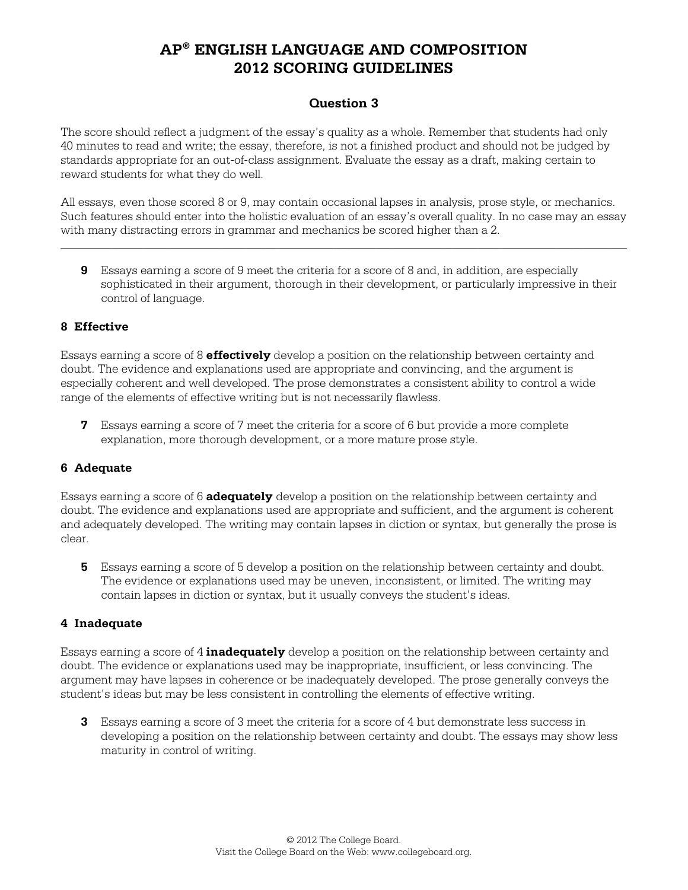### **Question 3**

The score should reflect a judgment of the essay's quality as a whole. Remember that students had only 40 minutes to read and write; the essay, therefore, is not a finished product and should not be judged by standards appropriate for an out-of-class assignment. Evaluate the essay as a draft, making certain to reward students for what they do well.

All essays, even those scored 8 or 9, may contain occasional lapses in analysis, prose style, or mechanics. Such features should enter into the holistic evaluation of an essay's overall quality. In no case may an essay with many distracting errors in grammar and mechanics be scored higher than a 2.

 $\mathcal{L}_\text{max} = \mathcal{L}_\text{max} = \mathcal{L}_\text{max} = \mathcal{L}_\text{max} = \mathcal{L}_\text{max} = \mathcal{L}_\text{max} = \mathcal{L}_\text{max} = \mathcal{L}_\text{max} = \mathcal{L}_\text{max} = \mathcal{L}_\text{max} = \mathcal{L}_\text{max} = \mathcal{L}_\text{max} = \mathcal{L}_\text{max} = \mathcal{L}_\text{max} = \mathcal{L}_\text{max} = \mathcal{L}_\text{max} = \mathcal{L}_\text{max} = \mathcal{L}_\text{max} = \mathcal{$ 

**9** Essays earning a score of 9 meet the criteria for a score of 8 and, in addition, are especially sophisticated in their argument, thorough in their development, or particularly impressive in their control of language.

#### **8 Effective**

Essays earning a score of 8 **effectively** develop a position on the relationship between certainty and doubt. The evidence and explanations used are appropriate and convincing, and the argument is especially coherent and well developed. The prose demonstrates a consistent ability to control a wide range of the elements of effective writing but is not necessarily flawless.

**7** Essays earning a score of 7 meet the criteria for a score of 6 but provide a more complete explanation, more thorough development, or a more mature prose style.

#### **6 Adequate**

Essays earning a score of 6 **adequately** develop a position on the relationship between certainty and doubt. The evidence and explanations used are appropriate and sufficient, and the argument is coherent and adequately developed. The writing may contain lapses in diction or syntax, but generally the prose is clear.

**5** Essays earning a score of 5 develop a position on the relationship between certainty and doubt. The evidence or explanations used may be uneven, inconsistent, or limited. The writing may contain lapses in diction or syntax, but it usually conveys the student's ideas.

#### **4 Inadequate**

Essays earning a score of 4 **inadequately** develop a position on the relationship between certainty and doubt. The evidence or explanations used may be inappropriate, insufficient, or less convincing. The argument may have lapses in coherence or be inadequately developed. The prose generally conveys the student's ideas but may be less consistent in controlling the elements of effective writing.

**3** Essays earning a score of 3 meet the criteria for a score of 4 but demonstrate less success in developing a position on the relationship between certainty and doubt. The essays may show less maturity in control of writing.